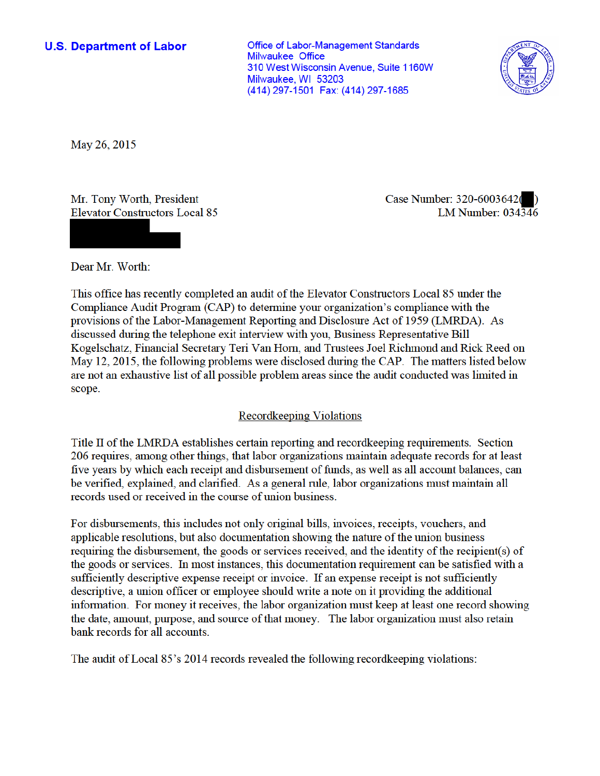**U.S. Department of Labor** 

**Office of Labor-Management Standards Milwaukee Office** 310 West Wisconsin Avenue, Suite 1160W Milwaukee, WI 53203 (414) 297-1501 Fax: (414) 297-1685



May 26, 2015

Mr. Tony Worth, President **Elevator Constructors Local 85** 

Dear Mr. Worth:

Case Number: 320-6003642( LM Number:  $034\overline{346}$ 

This office has recently completed an audit of the Elevator Constructors Local 85 under the Compliance Audit Program (CAP) to determine your organization's compliance with the provisions of the Labor-Management Reporting and Disclosure Act of 1959 (LMRDA). As discussed during the telephone exit interview with you, Business Representative Bill Kogelschatz, Financial Secretary Teri Van Horn, and Trustees Joel Richmond and Rick Reed on May 12, 2015, the following problems were disclosed during the CAP. The matters listed below are not an exhaustive list of all possible problem areas since the audit conducted was limited in scope.

# **Recordkeeping Violations**

Title II of the LMRDA establishes certain reporting and recordkeeping requirements. Section 206 requires, among other things, that labor organizations maintain adequate records for at least five years by which each receipt and disbursement of funds, as well as all account balances, can be verified, explained, and clarified. As a general rule, labor organizations must maintain all records used or received in the course of union business.

For disbursements, this includes not only original bills, invoices, receipts, vouchers, and applicable resolutions, but also documentation showing the nature of the union business requiring the disbursement, the goods or services received, and the identity of the recipient(s) of the goods or services. In most instances, this documentation requirement can be satisfied with a sufficiently descriptive expense receipt or invoice. If an expense receipt is not sufficiently descriptive, a union officer or employee should write a note on it providing the additional information. For money it receives, the labor organization must keep at least one record showing the date, amount, purpose, and source of that money. The labor organization must also retain bank records for all accounts.

The audit of Local 85's 2014 records revealed the following record keeping violations: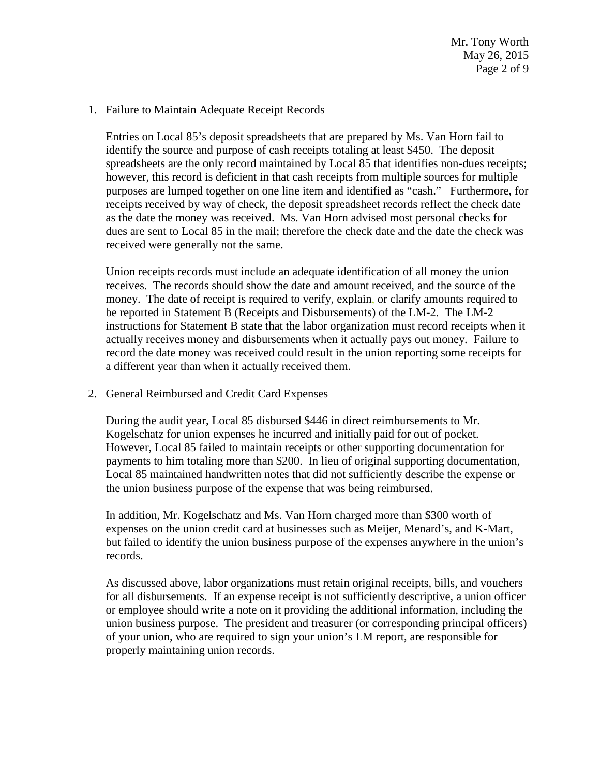#### 1. Failure to Maintain Adequate Receipt Records

Entries on Local 85's deposit spreadsheets that are prepared by Ms. Van Horn fail to identify the source and purpose of cash receipts totaling at least \$450. The deposit spreadsheets are the only record maintained by Local 85 that identifies non-dues receipts; however, this record is deficient in that cash receipts from multiple sources for multiple purposes are lumped together on one line item and identified as "cash." Furthermore, for receipts received by way of check, the deposit spreadsheet records reflect the check date as the date the money was received. Ms. Van Horn advised most personal checks for dues are sent to Local 85 in the mail; therefore the check date and the date the check was received were generally not the same.

Union receipts records must include an adequate identification of all money the union receives. The records should show the date and amount received, and the source of the money. The date of receipt is required to verify, explain, or clarify amounts required to be reported in Statement B (Receipts and Disbursements) of the LM-2. The LM-2 instructions for Statement B state that the labor organization must record receipts when it actually receives money and disbursements when it actually pays out money. Failure to record the date money was received could result in the union reporting some receipts for a different year than when it actually received them.

2. General Reimbursed and Credit Card Expenses

During the audit year, Local 85 disbursed \$446 in direct reimbursements to Mr. Kogelschatz for union expenses he incurred and initially paid for out of pocket. However, Local 85 failed to maintain receipts or other supporting documentation for payments to him totaling more than \$200. In lieu of original supporting documentation, Local 85 maintained handwritten notes that did not sufficiently describe the expense or the union business purpose of the expense that was being reimbursed.

In addition, Mr. Kogelschatz and Ms. Van Horn charged more than \$300 worth of expenses on the union credit card at businesses such as Meijer, Menard's, and K-Mart, but failed to identify the union business purpose of the expenses anywhere in the union's records.

As discussed above, labor organizations must retain original receipts, bills, and vouchers for all disbursements. If an expense receipt is not sufficiently descriptive, a union officer or employee should write a note on it providing the additional information, including the union business purpose. The president and treasurer (or corresponding principal officers) of your union, who are required to sign your union's LM report, are responsible for properly maintaining union records.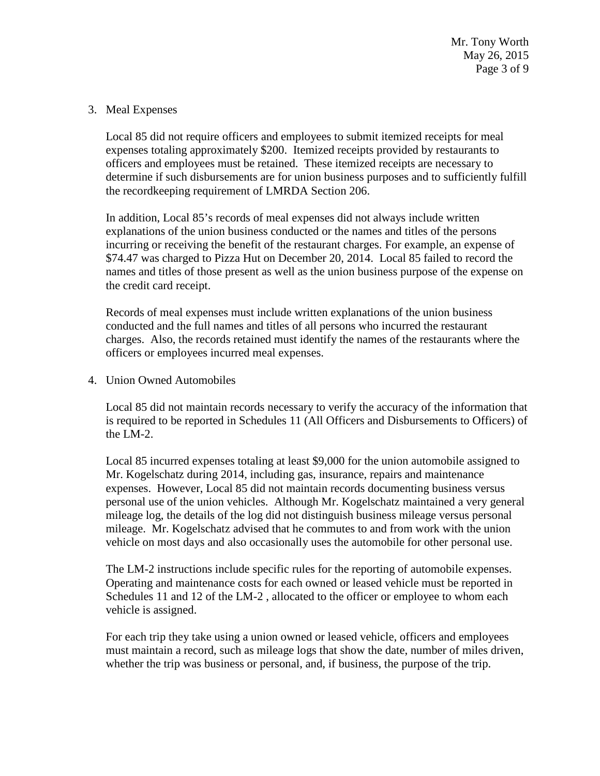#### 3. Meal Expenses

Local 85 did not require officers and employees to submit itemized receipts for meal expenses totaling approximately \$200. Itemized receipts provided by restaurants to officers and employees must be retained. These itemized receipts are necessary to determine if such disbursements are for union business purposes and to sufficiently fulfill the recordkeeping requirement of LMRDA Section 206.

In addition, Local 85's records of meal expenses did not always include written explanations of the union business conducted or the names and titles of the persons incurring or receiving the benefit of the restaurant charges. For example, an expense of \$74.47 was charged to Pizza Hut on December 20, 2014. Local 85 failed to record the names and titles of those present as well as the union business purpose of the expense on the credit card receipt.

Records of meal expenses must include written explanations of the union business conducted and the full names and titles of all persons who incurred the restaurant charges. Also, the records retained must identify the names of the restaurants where the officers or employees incurred meal expenses.

4. Union Owned Automobiles

Local 85 did not maintain records necessary to verify the accuracy of the information that is required to be reported in Schedules 11 (All Officers and Disbursements to Officers) of the LM-2.

Local 85 incurred expenses totaling at least \$9,000 for the union automobile assigned to Mr. Kogelschatz during 2014, including gas, insurance, repairs and maintenance expenses. However, Local 85 did not maintain records documenting business versus personal use of the union vehicles. Although Mr. Kogelschatz maintained a very general mileage log, the details of the log did not distinguish business mileage versus personal mileage. Mr. Kogelschatz advised that he commutes to and from work with the union vehicle on most days and also occasionally uses the automobile for other personal use.

The LM-2 instructions include specific rules for the reporting of automobile expenses. Operating and maintenance costs for each owned or leased vehicle must be reported in Schedules 11 and 12 of the LM-2 , allocated to the officer or employee to whom each vehicle is assigned.

For each trip they take using a union owned or leased vehicle, officers and employees must maintain a record, such as mileage logs that show the date, number of miles driven, whether the trip was business or personal, and, if business, the purpose of the trip.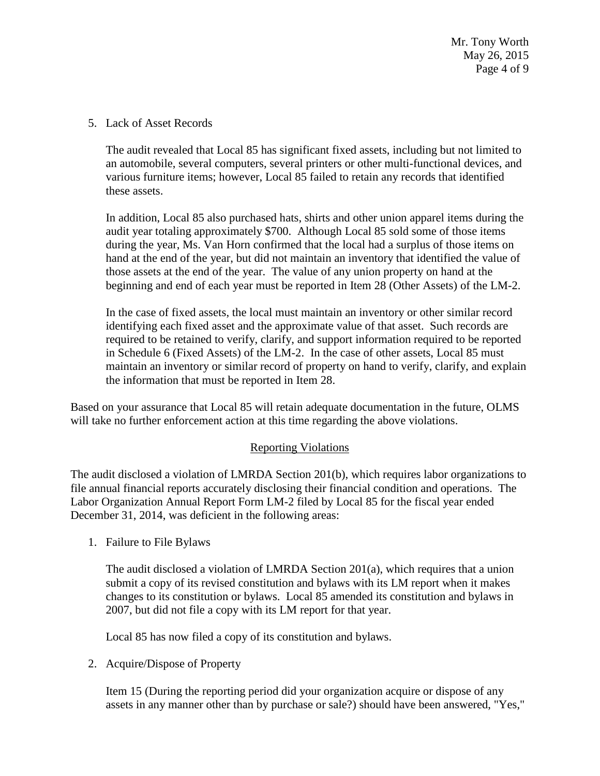5. Lack of Asset Records

The audit revealed that Local 85 has significant fixed assets, including but not limited to an automobile, several computers, several printers or other multi-functional devices, and various furniture items; however, Local 85 failed to retain any records that identified these assets.

In addition, Local 85 also purchased hats, shirts and other union apparel items during the audit year totaling approximately \$700. Although Local 85 sold some of those items during the year, Ms. Van Horn confirmed that the local had a surplus of those items on hand at the end of the year, but did not maintain an inventory that identified the value of those assets at the end of the year. The value of any union property on hand at the beginning and end of each year must be reported in Item 28 (Other Assets) of the LM-2.

In the case of fixed assets, the local must maintain an inventory or other similar record identifying each fixed asset and the approximate value of that asset. Such records are required to be retained to verify, clarify, and support information required to be reported in Schedule 6 (Fixed Assets) of the LM-2. In the case of other assets, Local 85 must maintain an inventory or similar record of property on hand to verify, clarify, and explain the information that must be reported in Item 28.

Based on your assurance that Local 85 will retain adequate documentation in the future, OLMS will take no further enforcement action at this time regarding the above violations.

# Reporting Violations

The audit disclosed a violation of LMRDA Section 201(b), which requires labor organizations to file annual financial reports accurately disclosing their financial condition and operations. The Labor Organization Annual Report Form LM-2 filed by Local 85 for the fiscal year ended December 31, 2014, was deficient in the following areas:

1. Failure to File Bylaws

The audit disclosed a violation of LMRDA Section 201(a), which requires that a union submit a copy of its revised constitution and bylaws with its LM report when it makes changes to its constitution or bylaws. Local 85 amended its constitution and bylaws in 2007, but did not file a copy with its LM report for that year.

Local 85 has now filed a copy of its constitution and bylaws.

2. Acquire/Dispose of Property

Item 15 (During the reporting period did your organization acquire or dispose of any assets in any manner other than by purchase or sale?) should have been answered, "Yes,"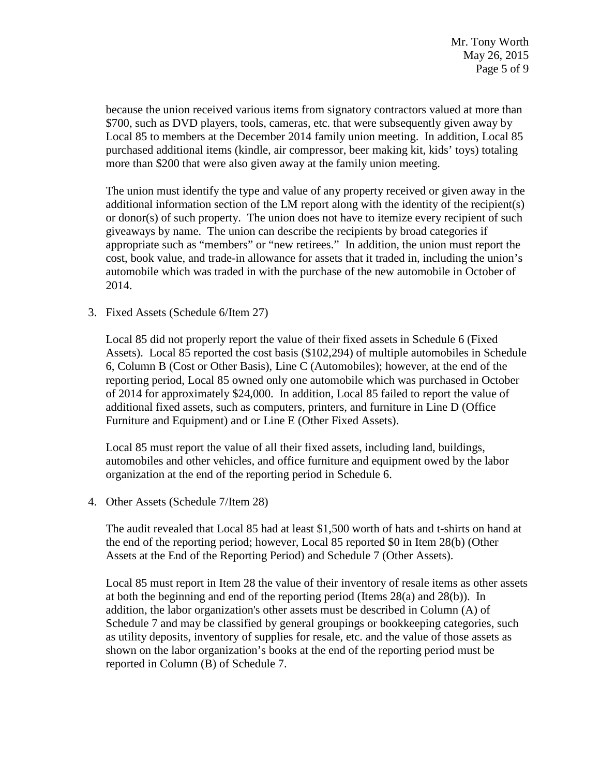because the union received various items from signatory contractors valued at more than \$700, such as DVD players, tools, cameras, etc. that were subsequently given away by Local 85 to members at the December 2014 family union meeting. In addition, Local 85 purchased additional items (kindle, air compressor, beer making kit, kids' toys) totaling more than \$200 that were also given away at the family union meeting.

The union must identify the type and value of any property received or given away in the additional information section of the LM report along with the identity of the recipient(s) or donor(s) of such property. The union does not have to itemize every recipient of such giveaways by name. The union can describe the recipients by broad categories if appropriate such as "members" or "new retirees." In addition, the union must report the cost, book value, and trade-in allowance for assets that it traded in, including the union's automobile which was traded in with the purchase of the new automobile in October of 2014.

3. Fixed Assets (Schedule 6/Item 27)

Local 85 did not properly report the value of their fixed assets in Schedule 6 (Fixed Assets). Local 85 reported the cost basis (\$102,294) of multiple automobiles in Schedule 6, Column B (Cost or Other Basis), Line C (Automobiles); however, at the end of the reporting period, Local 85 owned only one automobile which was purchased in October of 2014 for approximately \$24,000. In addition, Local 85 failed to report the value of additional fixed assets, such as computers, printers, and furniture in Line D (Office Furniture and Equipment) and or Line E (Other Fixed Assets).

Local 85 must report the value of all their fixed assets, including land, buildings, automobiles and other vehicles, and office furniture and equipment owed by the labor organization at the end of the reporting period in Schedule 6.

4. Other Assets (Schedule 7/Item 28)

The audit revealed that Local 85 had at least \$1,500 worth of hats and t-shirts on hand at the end of the reporting period; however, Local 85 reported \$0 in Item 28(b) (Other Assets at the End of the Reporting Period) and Schedule 7 (Other Assets).

Local 85 must report in Item 28 the value of their inventory of resale items as other assets at both the beginning and end of the reporting period (Items 28(a) and 28(b)). In addition, the labor organization's other assets must be described in Column (A) of Schedule 7 and may be classified by general groupings or bookkeeping categories, such as utility deposits, inventory of supplies for resale, etc. and the value of those assets as shown on the labor organization's books at the end of the reporting period must be reported in Column (B) of Schedule 7.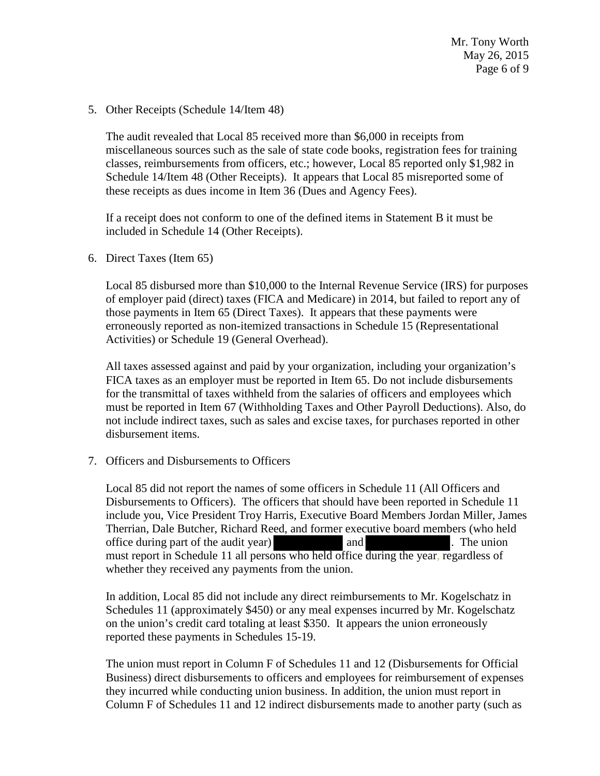5. Other Receipts (Schedule 14/Item 48)

The audit revealed that Local 85 received more than \$6,000 in receipts from miscellaneous sources such as the sale of state code books, registration fees for training classes, reimbursements from officers, etc.; however, Local 85 reported only \$1,982 in Schedule 14/Item 48 (Other Receipts). It appears that Local 85 misreported some of these receipts as dues income in Item 36 (Dues and Agency Fees).

If a receipt does not conform to one of the defined items in Statement B it must be included in Schedule 14 (Other Receipts).

6. Direct Taxes (Item 65)

Local 85 disbursed more than \$10,000 to the Internal Revenue Service (IRS) for purposes of employer paid (direct) taxes (FICA and Medicare) in 2014, but failed to report any of those payments in Item 65 (Direct Taxes). It appears that these payments were erroneously reported as non-itemized transactions in Schedule 15 (Representational Activities) or Schedule 19 (General Overhead).

All taxes assessed against and paid by your organization, including your organization's FICA taxes as an employer must be reported in Item 65. Do not include disbursements for the transmittal of taxes withheld from the salaries of officers and employees which must be reported in Item 67 (Withholding Taxes and Other Payroll Deductions). Also, do not include indirect taxes, such as sales and excise taxes, for purchases reported in other disbursement items.

7. Officers and Disbursements to Officers

Local 85 did not report the names of some officers in Schedule 11 (All Officers and Disbursements to Officers). The officers that should have been reported in Schedule 11 include you, Vice President Troy Harris, Executive Board Members Jordan Miller, James Therrian, Dale Butcher, Richard Reed, and former executive board members (who held office during part of the audit year) and . The union must report in Schedule 11 all persons who held office during the year, regardless of whether they received any payments from the union.

In addition, Local 85 did not include any direct reimbursements to Mr. Kogelschatz in Schedules 11 (approximately \$450) or any meal expenses incurred by Mr. Kogelschatz on the union's credit card totaling at least \$350. It appears the union erroneously reported these payments in Schedules 15-19.

The union must report in Column F of Schedules 11 and 12 (Disbursements for Official Business) direct disbursements to officers and employees for reimbursement of expenses they incurred while conducting union business. In addition, the union must report in Column F of Schedules 11 and 12 indirect disbursements made to another party (such as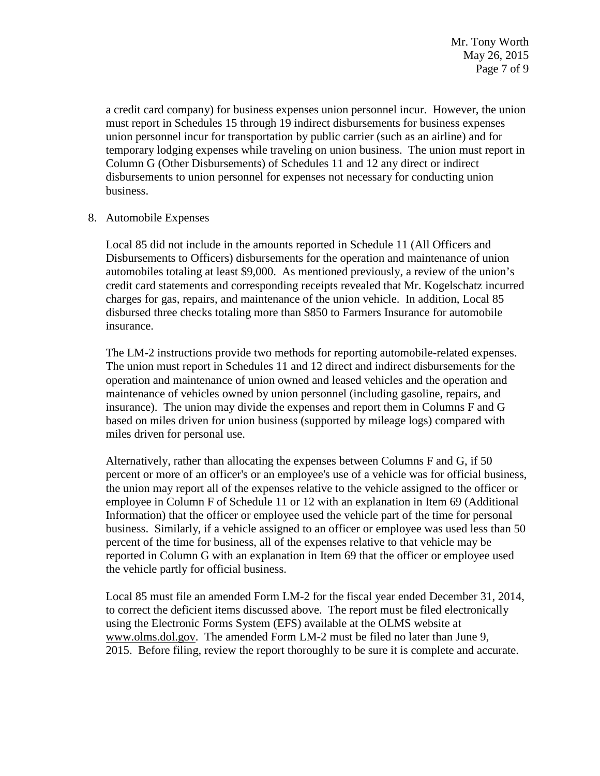a credit card company) for business expenses union personnel incur. However, the union must report in Schedules 15 through 19 indirect disbursements for business expenses union personnel incur for transportation by public carrier (such as an airline) and for temporary lodging expenses while traveling on union business. The union must report in Column G (Other Disbursements) of Schedules 11 and 12 any direct or indirect disbursements to union personnel for expenses not necessary for conducting union business.

8. Automobile Expenses

Local 85 did not include in the amounts reported in Schedule 11 (All Officers and Disbursements to Officers) disbursements for the operation and maintenance of union automobiles totaling at least \$9,000. As mentioned previously, a review of the union's credit card statements and corresponding receipts revealed that Mr. Kogelschatz incurred charges for gas, repairs, and maintenance of the union vehicle. In addition, Local 85 disbursed three checks totaling more than \$850 to Farmers Insurance for automobile insurance.

The LM-2 instructions provide two methods for reporting automobile-related expenses. The union must report in Schedules 11 and 12 direct and indirect disbursements for the operation and maintenance of union owned and leased vehicles and the operation and maintenance of vehicles owned by union personnel (including gasoline, repairs, and insurance). The union may divide the expenses and report them in Columns F and G based on miles driven for union business (supported by mileage logs) compared with miles driven for personal use.

Alternatively, rather than allocating the expenses between Columns F and G, if 50 percent or more of an officer's or an employee's use of a vehicle was for official business, the union may report all of the expenses relative to the vehicle assigned to the officer or employee in Column F of Schedule 11 or 12 with an explanation in Item 69 (Additional Information) that the officer or employee used the vehicle part of the time for personal business. Similarly, if a vehicle assigned to an officer or employee was used less than 50 percent of the time for business, all of the expenses relative to that vehicle may be reported in Column G with an explanation in Item 69 that the officer or employee used the vehicle partly for official business.

Local 85 must file an amended Form LM-2 for the fiscal year ended December 31, 2014, to correct the deficient items discussed above. The report must be filed electronically using the Electronic Forms System (EFS) available at the OLMS website at www.olms.dol.gov. The amended Form LM-2 must be filed no later than June 9, 2015. Before filing, review the report thoroughly to be sure it is complete and accurate.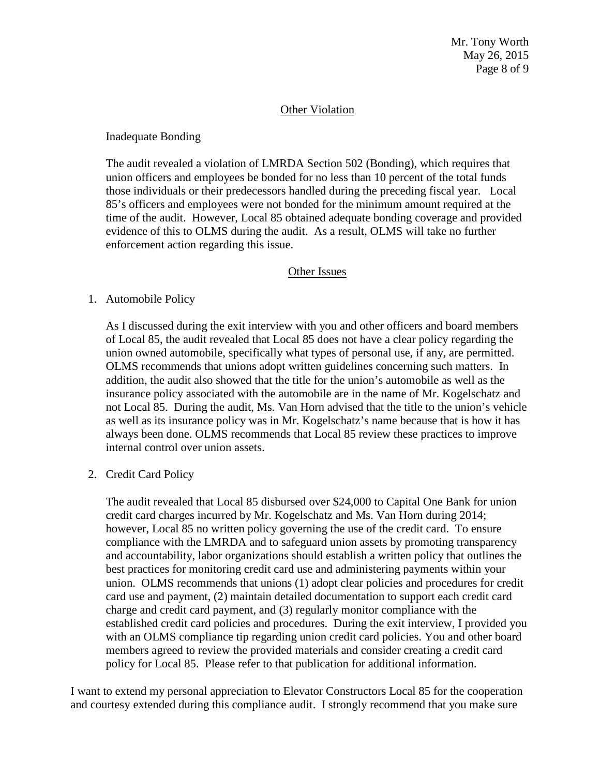### Other Violation

### Inadequate Bonding

The audit revealed a violation of LMRDA Section 502 (Bonding), which requires that union officers and employees be bonded for no less than 10 percent of the total funds those individuals or their predecessors handled during the preceding fiscal year. Local 85's officers and employees were not bonded for the minimum amount required at the time of the audit. However, Local 85 obtained adequate bonding coverage and provided evidence of this to OLMS during the audit. As a result, OLMS will take no further enforcement action regarding this issue.

# Other Issues

### 1. Automobile Policy

As I discussed during the exit interview with you and other officers and board members of Local 85, the audit revealed that Local 85 does not have a clear policy regarding the union owned automobile, specifically what types of personal use, if any, are permitted. OLMS recommends that unions adopt written guidelines concerning such matters. In addition, the audit also showed that the title for the union's automobile as well as the insurance policy associated with the automobile are in the name of Mr. Kogelschatz and not Local 85. During the audit, Ms. Van Horn advised that the title to the union's vehicle as well as its insurance policy was in Mr. Kogelschatz's name because that is how it has always been done. OLMS recommends that Local 85 review these practices to improve internal control over union assets.

2. Credit Card Policy

The audit revealed that Local 85 disbursed over \$24,000 to Capital One Bank for union credit card charges incurred by Mr. Kogelschatz and Ms. Van Horn during 2014; however, Local 85 no written policy governing the use of the credit card. To ensure compliance with the LMRDA and to safeguard union assets by promoting transparency and accountability, labor organizations should establish a written policy that outlines the best practices for monitoring credit card use and administering payments within your union. OLMS recommends that unions (1) adopt clear policies and procedures for credit card use and payment, (2) maintain detailed documentation to support each credit card charge and credit card payment, and (3) regularly monitor compliance with the established credit card policies and procedures. During the exit interview, I provided you with an OLMS compliance tip regarding union credit card policies. You and other board members agreed to review the provided materials and consider creating a credit card policy for Local 85. Please refer to that publication for additional information.

I want to extend my personal appreciation to Elevator Constructors Local 85 for the cooperation and courtesy extended during this compliance audit. I strongly recommend that you make sure